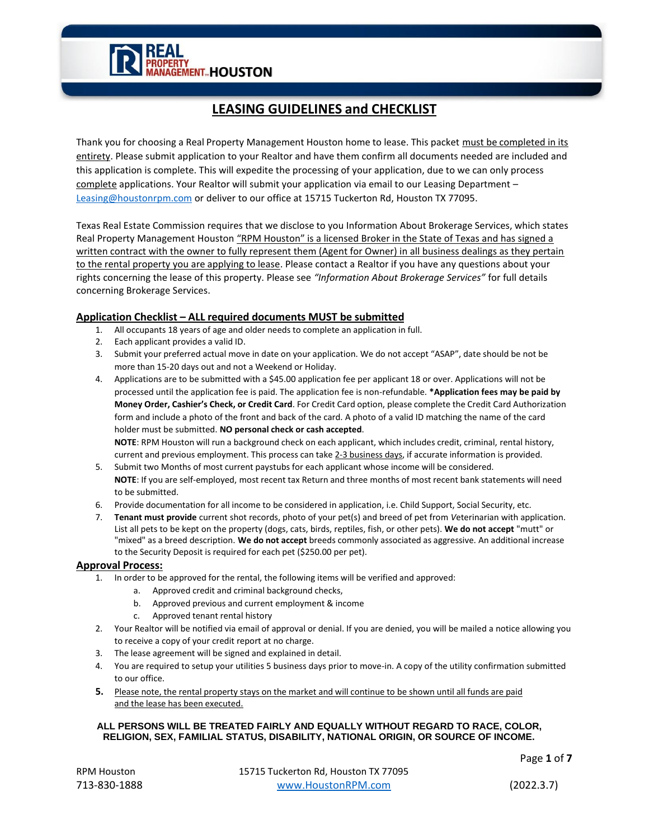**ERTY<br>GEMENT HOUSTON** 

# **LEASING GUIDELINES and CHECKLIST**

Thank you for choosing a Real Property Management Houston home to lease. This packet must be completed in its entirety. Please submit application to your Realtor and have them confirm all documents needed are included and this application is complete. This will expedite the processing of your application, due to we can only process complete applications. Your Realtor will submit your application via email to our Leasing Department – Leasing@houstonrpm.com or deliver to our office at 15715 Tuckerton Rd, Houston TX 77095.

Texas Real Estate Commission requires that we disclose to you Information About Brokerage Services, which states Real Property Management Houston "RPM Houston" is a licensed Broker in the State of Texas and has signed a written contract with the owner to fully represent them (Agent for Owner) in all business dealings as they pertain to the rental property you are applying to lease. Please contact a Realtor if you have any questions about your rights concerning the lease of this property. Please see *"Information About Brokerage Services"* for full details concerning Brokerage Services.

## **Application Checklist – ALL required documents MUST be submitted**

- 1. All occupants 18 years of age and older needs to complete an application in full.
- 2. Each applicant provides a valid ID.
- 3. Submit your preferred actual move in date on your application. We do not accept "ASAP", date should be not be more than 15-20 days out and not a Weekend or Holiday.
- 4. Applications are to be submitted with a \$45.00 application fee per applicant 18 or over. Applications will not be processed until the application fee is paid. The application fee is non-refundable. **\*Application fees may be paid by Money Order, Cashier's Check, or Credit Card**. For Credit Card option, please complete the Credit Card Authorization form and include a photo of the front and back of the card. A photo of a valid ID matching the name of the card holder must be submitted. **NO personal check or cash accepted**.

**NOTE**: RPM Houston will run a background check on each applicant, which includes credit, criminal, rental history, current and previous employment. This process can take 2-3 business days, if accurate information is provided.

- 5. Submit two Months of most current paystubs for each applicant whose income will be considered. **NOTE**: If you are self-employed, most recent tax Return and three months of most recent bank statements will need to be submitted.
- 6. Provide documentation for all income to be considered in application, i.e. Child Support, Social Security, etc.
- 7. **Tenant must provide** current shot records, photo of your pet(s) and breed of pet from *V*eterinarian with application. List all pets to be kept on the property (dogs, cats, birds, reptiles, fish, or other pets). **We do not accept** "mutt" or "mixed" as a breed description. **We do not accept** breeds commonly associated as aggressive. An additional increase to the Security Deposit is required for each pet (\$250.00 per pet).

## **Approval Process:**

- 1. In order to be approved for the rental, the following items will be verified and approved:
	- a. Approved credit and criminal background checks,
	- b. Approved previous and current employment & income
	- c. Approved tenant rental history
- 2. Your Realtor will be notified via email of approval or denial. If you are denied, you will be mailed a notice allowing you to receive a copy of your credit report at no charge.
- 3. The lease agreement will be signed and explained in detail.
- 4. You are required to setup your utilities 5 business days prior to move-in. A copy of the utility confirmation submitted to our office.
- **5.** Please note, the rental property stays on the market and will continue to be shown until all funds are paid and the lease has been executed.

## **ALL PERSONS WILL BE TREATED FAIRLY AND EQUALLY WITHOUT REGARD TO RACE, COLOR, RELIGION, SEX, FAMILIAL STATUS, DISABILITY, NATIONAL ORIGIN, OR SOURCE OF INCOME.**

Page **1** of **7**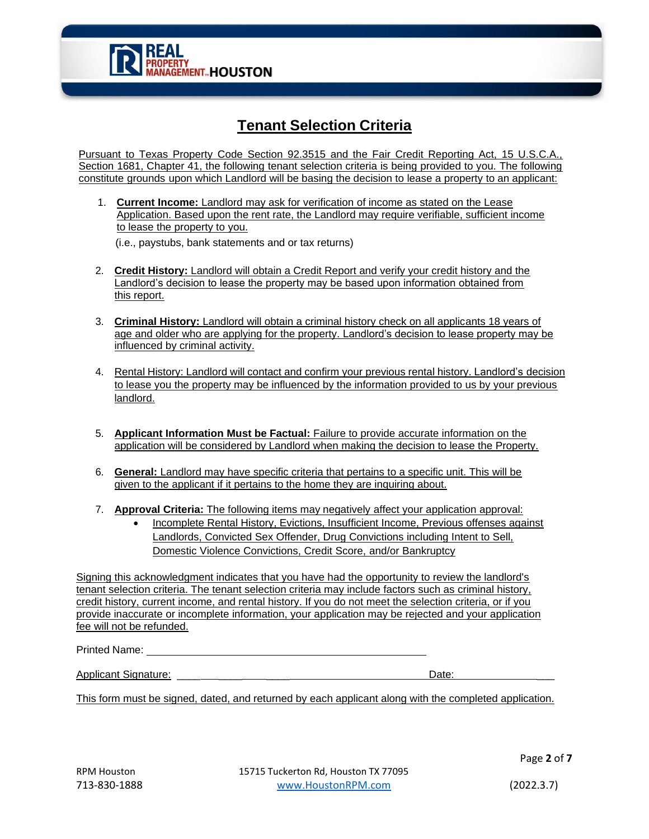

# **Tenant Selection Criteria**

Pursuant to Texas Property Code Section 92.3515 and the Fair Credit Reporting Act, 15 U.S.C.A., Section 1681, Chapter 41, the following tenant selection criteria is being provided to you. The following constitute grounds upon which Landlord will be basing the decision to lease a property to an applicant:

1. **Current Income:** Landlord may ask for verification of income as stated on the Lease Application. Based upon the rent rate, the Landlord may require verifiable, sufficient income to lease the property to you.

(i.e., paystubs, bank statements and or tax returns)

- 2. **Credit History:** Landlord will obtain a Credit Report and verify your credit history and the Landlord's decision to lease the property may be based upon information obtained from this report.
- 3. **Criminal History:** Landlord will obtain a criminal history check on all applicants 18 years of age and older who are applying for the property. Landlord's decision to lease property may be influenced by criminal activity.
- 4. Rental History: Landlord will contact and confirm your previous rental history. Landlord's decision to lease you the property may be influenced by the information provided to us by your previous landlord.
- 5. **Applicant Information Must be Factual:** Failure to provide accurate information on the application will be considered by Landlord when making the decision to lease the Property.
- 6. **General:** Landlord may have specific criteria that pertains to a specific unit. This will be given to the applicant if it pertains to the home they are inquiring about.
- 7. **Approval Criteria:** The following items may negatively affect your application approval:
	- Incomplete Rental History, Evictions, Insufficient Income, Previous offenses against Landlords, Convicted Sex Offender, Drug Convictions including Intent to Sell, Domestic Violence Convictions, Credit Score, and/or Bankruptcy

Signing this acknowledgment indicates that you have had the opportunity to review the landlord's tenant selection criteria. The tenant selection criteria may include factors such as criminal history, credit history, current income, and rental history. If you do not meet the selection criteria, or if you provide inaccurate or incomplete information, your application may be rejected and your application fee will not be refunded.

Printed Name:

| <b>Applicant Signature:</b><br>Date |  |
|-------------------------------------|--|
|                                     |  |

This form must be signed, dated, and returned by each applicant along with the completed application.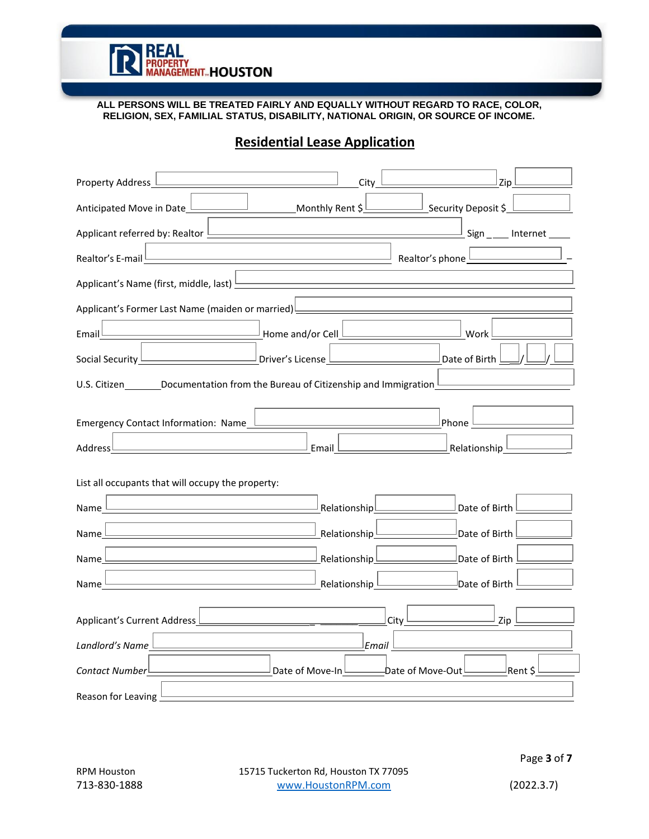

**ALL PERSONS WILL BE TREATED FAIRLY AND EQUALLY WITHOUT REGARD TO RACE, COLOR, RELIGION, SEX, FAMILIAL STATUS, DISABILITY, NATIONAL ORIGIN, OR SOURCE OF INCOME.**

# Property Address  $\Box$ Anticipated Move in Date Monto Monthly Rent \$ Applicant referred by: Realtor  $\Box$  Internet Realtor's E-mail Realtor's phone \_ Applicant's Name (first, middle, last) Applicant's Former Last Name (maiden or married) Email Work Number 2014 Normal Home and/or Cell Number 2014 Number 2014 Social Security <u>Decomes and Community Driver's License Date of Birth and the Security Date of Birth</u> U.S. Citizen  $\Box$  Documentation from the Bureau of Citizenship and Immigration Emergency Contact Information: Name <u>Lease and Contact Information: Name Phone</u> Address **Electionship 2016** Email **Email Relationship 2016** Relationship List all occupants that will occupy the property: Name Domester Communications (Relationship Date of Birth Name Date of Birth Relationship Relationship Date of Birth Name Dour Communicationship Relationship Date of Birth Name Date of Birth Relationship Date of Birth Applicant's Current Address  $\Box$ *Landlord's Name Email* **Contact Number** Rent \$ **Date of Move-In** Date of Move-Dut Rent \$

## **Residential Lease Application**

Reason for Leaving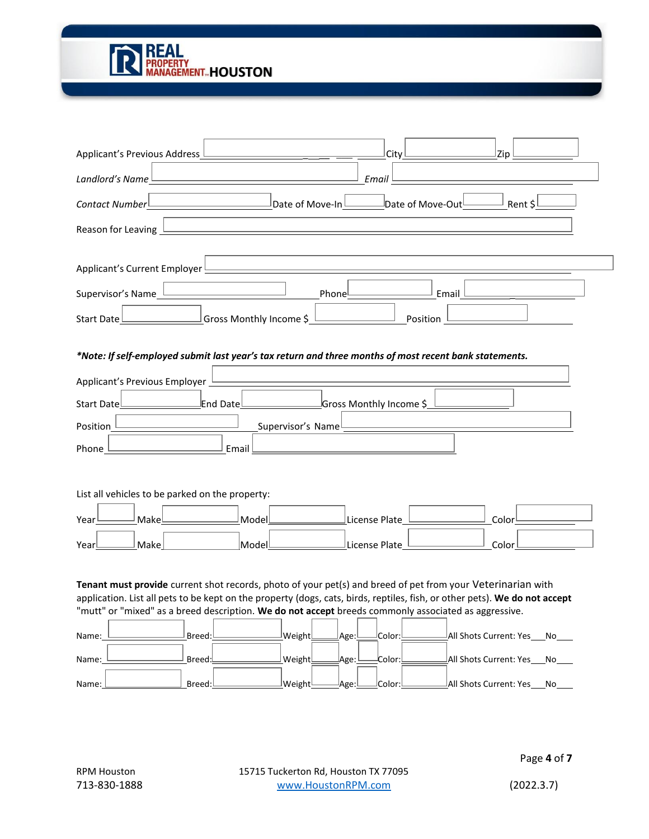

| Applicant's Previous Address<br>Zip<br>City                                                                                     |
|---------------------------------------------------------------------------------------------------------------------------------|
| Landlord's Name<br>Email                                                                                                        |
| Date of Move-In<br>Date of Move-Out<br>Contact Number<br>Rent \$                                                                |
| Reason for Leaving                                                                                                              |
| Applicant's Current Employer                                                                                                    |
|                                                                                                                                 |
| Supervisor's Name<br>Phonel<br>Email                                                                                            |
| Position<br>Gross Monthly Income \$<br>Start Date                                                                               |
| *Note: If self-employed submit last year's tax return and three months of most recent bank statements.                          |
|                                                                                                                                 |
| Applicant's Previous Employer                                                                                                   |
| $\mathop{\mathsf{End}}\nolimits$ Date $\mathop{\mathsf{I}}\nolimits$<br>Gross Monthly Income \$<br><b>Start Date</b>            |
|                                                                                                                                 |
| Position<br>Supervisor's Name                                                                                                   |
| Phone<br>Email                                                                                                                  |
|                                                                                                                                 |
| List all vehicles to be parked on the property:                                                                                 |
|                                                                                                                                 |
| Make<br>Model<br>License Plate<br>Color<br>Year                                                                                 |
| <b>Make</b><br>$\perp$ License Plate_<br>$ $ Model $ $<br>Color<br>Yearl                                                        |
|                                                                                                                                 |
| Tenant must provide current shot records, photo of your pet(s) and breed of pet from your Veterinarian with                     |
| application. List all pets to be kept on the property (dogs, cats, birds, reptiles, fish, or other pets). We do not accept      |
| "mutt" or "mixed" as a breed description. We do not accept breeds commonly associated as aggressive.                            |
| All Shots Current: Yes<br>Breed:<br>$ {\sf Weight} $<br><sup> </sup> Color:<br>Age:l<br>Nο<br>Name:                             |
| _Breed: <mark>l</mark><br>All Shots Current: Yes <sup>l</sup><br>Weight<br>!:Color<br><sup>l</sup> No<br><u> Age: </u><br>Name: |

Name: <u>Name: Breed: Breed: Breed: Weight Age: Color: Contagraphy All Shots Current: Yes Nol</u>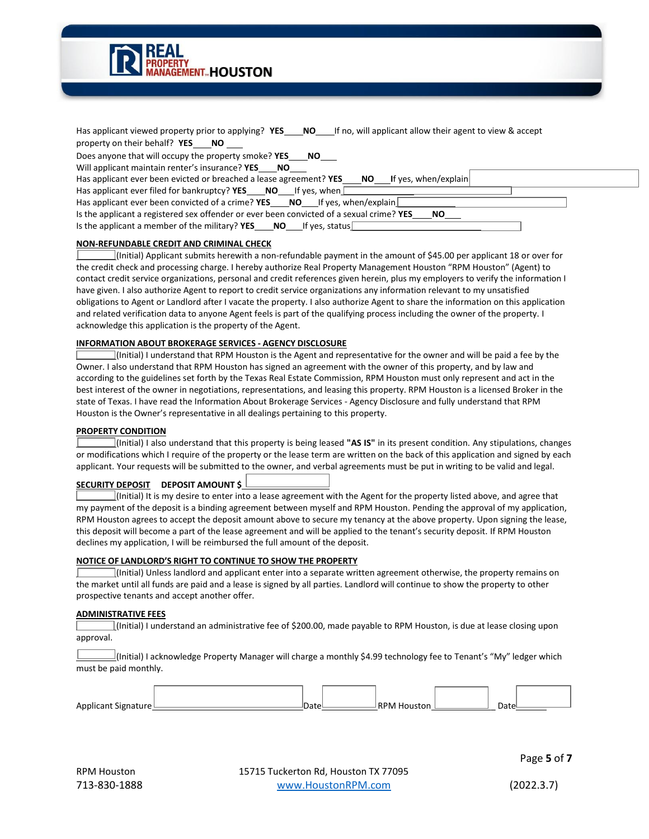

| Has applicant viewed property prior to applying? YES $\Box$ NO $\Box$ If no, will applicant allow their agent to view & accept |
|--------------------------------------------------------------------------------------------------------------------------------|
| property on their behalf? $YES$ $\Box$ NO                                                                                      |
| Does anyone that will occupy the property smoke? YES<br>NO L                                                                   |
| Will applicant maintain renter's insurance? YES $\Box$ NO                                                                      |
| Has applicant ever been evicted or breached a lease agreement? YES $\Box$ NO $\Box$ If yes, when/explain                       |
| Has applicant ever filed for bankruptcy? <b>YES</b> $\Box$ <b>NO</b> $\Box$ If yes, when                                       |
| Has applicant ever been convicted of a crime? YES $\Box$ NO $\Box$ If yes, when/explain                                        |
| Is the applicant a registered sex offender or ever been convicted of a sexual crime? YES $\Box$ NO                             |
| Is the applicant a member of the military? <b>YES</b> $\Box$ <b>NO</b> $\Box$ If yes, status $\Box$                            |
|                                                                                                                                |

#### **NON-REFUNDABLE CREDIT AND CRIMINAL CHECK**

(Initial) Applicant submits herewith a non-refundable payment in the amount of \$45.00 per applicant 18 or over for the credit check and processing charge. I hereby authorize Real Property Management Houston "RPM Houston" (Agent) to contact credit service organizations, personal and credit references given herein, plus my employers to verify the information I have given. I also authorize Agent to report to credit service organizations any information relevant to my unsatisfied obligations to Agent or Landlord after I vacate the property. I also authorize Agent to share the information on this application and related verification data to anyone Agent feels is part of the qualifying process including the owner of the property. I acknowledge this application is the property of the Agent.

#### **INFORMATION ABOUT BROKERAGE SERVICES - AGENCY DISCLOSURE**

(Initial) I understand that RPM Houston is the Agent and representative for the owner and will be paid a fee by the Owner. I also understand that RPM Houston has signed an agreement with the owner of this property, and by law and according to the guidelines set forth by the Texas Real Estate Commission, RPM Houston must only represent and act in the best interest of the owner in negotiations, representations, and leasing this property. RPM Houston is a licensed Broker in the state of Texas. I have read the Information About Brokerage Services - Agency Disclosure and fully understand that RPM Houston is the Owner's representative in all dealings pertaining to this property.

#### **PROPERTY CONDITION**

(Initial) I also understand that this property is being leased **"AS IS"** in its present condition. Any stipulations, changes or modifications which I require of the property or the lease term are written on the back of this application and signed by each applicant. Your requests will be submitted to the owner, and verbal agreements must be put in writing to be valid and legal.

### **SECURITY DEPOSIT DEPOSIT AMOUNT \$**

(Initial) It is my desire to enter into a lease agreement with the Agent for the property listed above, and agree that my payment of the deposit is a binding agreement between myself and RPM Houston. Pending the approval of my application, RPM Houston agrees to accept the deposit amount above to secure my tenancy at the above property. Upon signing the lease, this deposit will become a part of the lease agreement and will be applied to the tenant's security deposit. If RPM Houston declines my application, I will be reimbursed the full amount of the deposit.

#### **NOTICE OF LANDLORD'S RIGHT TO CONTINUE TO SHOW THE PROPERTY**

(Initial) Unless landlord and applicant enter into a separate written agreement otherwise, the property remains on the market until all funds are paid and a lease is signed by all parties. Landlord will continue to show the property to other prospective tenants and accept another offer.

#### **ADMINISTRATIVE FEES**

(Initial) I understand an administrative fee of \$200.00, made payable to RPM Houston, is due at lease closing upon approval.

 $\Box$ (Initial) I acknowledge Property Manager will charge a monthly \$4.99 technology fee to Tenant's "My" ledger which must be paid monthly.

| Applicant Signature L | Datel | RPM Houston | Date |  |
|-----------------------|-------|-------------|------|--|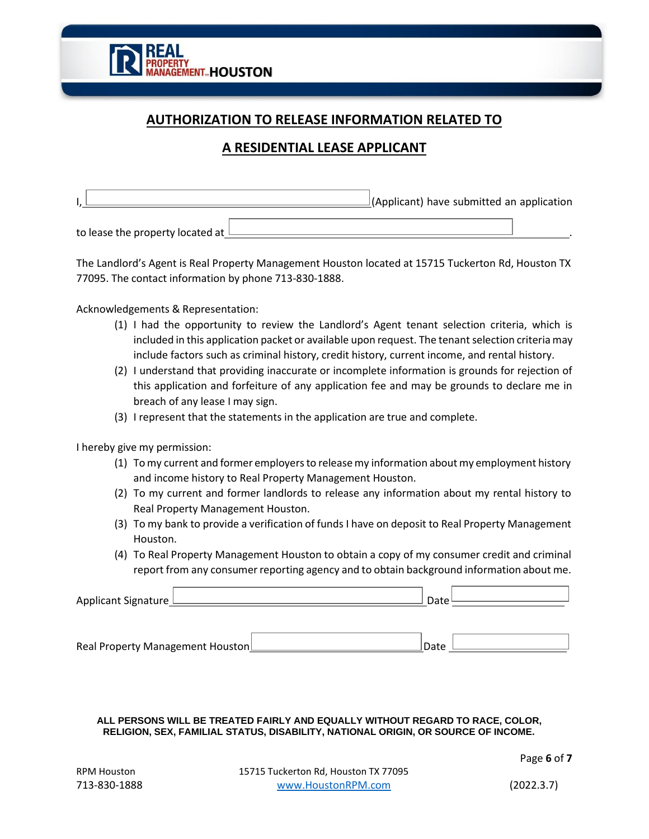

## **AUTHORIZATION TO RELEASE INFORMATION RELATED TO**

## **A RESIDENTIAL LEASE APPLICANT**

|  | $\perp$ (Applicant) have submitted an application |  |
|--|---------------------------------------------------|--|
|  |                                                   |  |

to lease the property located at  $\Box$ 

The Landlord's Agent is Real Property Management Houston located at 15715 Tuckerton Rd, Houston TX 77095. The contact information by phone 713-830-1888.

Acknowledgements & Representation:

- (1) I had the opportunity to review the Landlord's Agent tenant selection criteria, which is included in this application packet or available upon request. The tenant selection criteria may include factors such as criminal history, credit history, current income, and rental history.
- (2) I understand that providing inaccurate or incomplete information is grounds for rejection of this application and forfeiture of any application fee and may be grounds to declare me in breach of any lease I may sign.
- (3) I represent that the statements in the application are true and complete.

I hereby give my permission:

- (1) Tomy current and former employersto releasemy information aboutmy employment history and income history to Real Property Management Houston.
- (2) To my current and former landlords to release any information about my rental history to Real Property Management Houston.
- (3) To my bank to provide a verification of funds I have on deposit to Real Property Management Houston.
- (4) To Real Property Management Houston to obtain a copy of my consumer credit and criminal report from any consumer reporting agency and to obtain background information about me.

Applicant Signature  $\Box$  Date

Real Property Management Houston
<br>
<u>Date</u>

#### **ALL PERSONS WILL BE TREATED FAIRLY AND EQUALLY WITHOUT REGARD TO RACE, COLOR, RELIGION, SEX, FAMILIAL STATUS, DISABILITY, NATIONAL ORIGIN, OR SOURCE OF INCOME.**